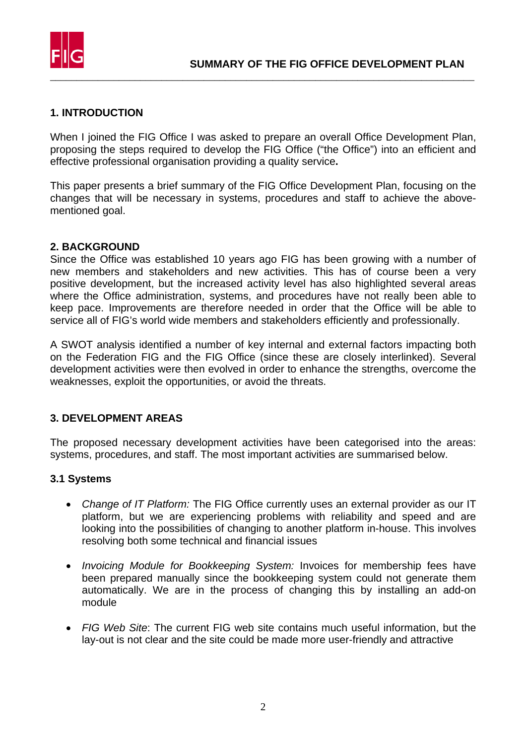

## **1. INTRODUCTION**

When I joined the FIG Office I was asked to prepare an overall Office Development Plan, proposing the steps required to develop the FIG Office ("the Office") into an efficient and effective professional organisation providing a quality service**.** 

This paper presents a brief summary of the FIG Office Development Plan, focusing on the changes that will be necessary in systems, procedures and staff to achieve the abovementioned goal.

#### **2. BACKGROUND**

Since the Office was established 10 years ago FIG has been growing with a number of new members and stakeholders and new activities. This has of course been a very positive development, but the increased activity level has also highlighted several areas where the Office administration, systems, and procedures have not really been able to keep pace. Improvements are therefore needed in order that the Office will be able to service all of FIG's world wide members and stakeholders efficiently and professionally.

A SWOT analysis identified a number of key internal and external factors impacting both on the Federation FIG and the FIG Office (since these are closely interlinked). Several development activities were then evolved in order to enhance the strengths, overcome the weaknesses, exploit the opportunities, or avoid the threats.

### **3. DEVELOPMENT AREAS**

The proposed necessary development activities have been categorised into the areas: systems, procedures, and staff. The most important activities are summarised below.

### **3.1 Systems**

- *Change of IT Platform:* The FIG Office currently uses an external provider as our IT platform, but we are experiencing problems with reliability and speed and are looking into the possibilities of changing to another platform in-house. This involves resolving both some technical and financial issues
- *Invoicing Module for Bookkeeping System:* Invoices for membership fees have been prepared manually since the bookkeeping system could not generate them automatically. We are in the process of changing this by installing an add-on module
- *FIG Web Site*: The current FIG web site contains much useful information, but the lay-out is not clear and the site could be made more user-friendly and attractive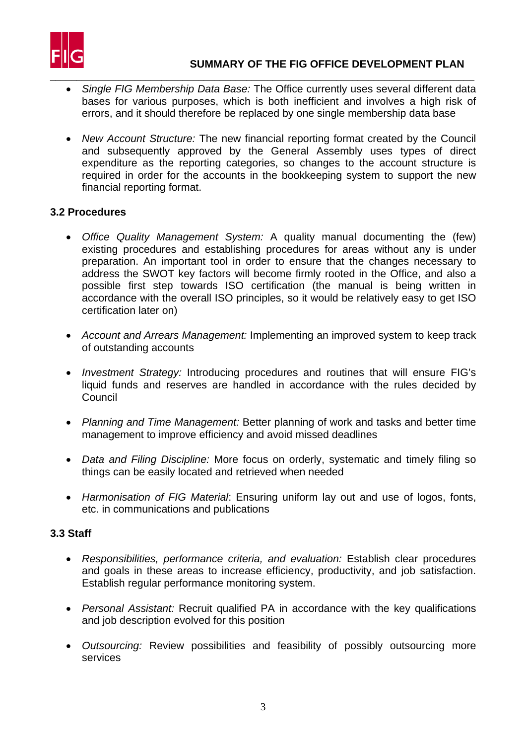

- \_\_\_\_\_\_\_\_\_\_\_\_\_\_\_\_\_\_\_\_\_\_\_\_\_\_\_\_\_\_\_\_\_\_\_\_\_\_\_\_\_\_\_\_\_\_\_\_\_\_\_\_\_\_\_\_\_\_\_\_\_\_\_\_\_\_\_\_\_\_\_\_\_\_\_\_\_\_\_\_ • *Single FIG Membership Data Base:* The Office currently uses several different data bases for various purposes, which is both inefficient and involves a high risk of errors, and it should therefore be replaced by one single membership data base
	- *New Account Structure:* The new financial reporting format created by the Council and subsequently approved by the General Assembly uses types of direct expenditure as the reporting categories, so changes to the account structure is required in order for the accounts in the bookkeeping system to support the new financial reporting format.

## **3.2 Procedures**

- *Office Quality Management System:* A quality manual documenting the (few) existing procedures and establishing procedures for areas without any is under preparation. An important tool in order to ensure that the changes necessary to address the SWOT key factors will become firmly rooted in the Office, and also a possible first step towards ISO certification (the manual is being written in accordance with the overall ISO principles, so it would be relatively easy to get ISO certification later on)
- *Account and Arrears Management:* Implementing an improved system to keep track of outstanding accounts
- *Investment Strategy:* Introducing procedures and routines that will ensure FIG's liquid funds and reserves are handled in accordance with the rules decided by Council
- *Planning and Time Management:* Better planning of work and tasks and better time management to improve efficiency and avoid missed deadlines
- *Data and Filing Discipline:* More focus on orderly, systematic and timely filing so things can be easily located and retrieved when needed
- *Harmonisation of FIG Material*: Ensuring uniform lay out and use of logos, fonts, etc. in communications and publications

## **3.3 Staff**

- *Responsibilities, performance criteria, and evaluation:* Establish clear procedures and goals in these areas to increase efficiency, productivity, and job satisfaction. Establish regular performance monitoring system.
- *Personal Assistant:* Recruit qualified PA in accordance with the key qualifications and job description evolved for this position
- *Outsourcing:* Review possibilities and feasibility of possibly outsourcing more services